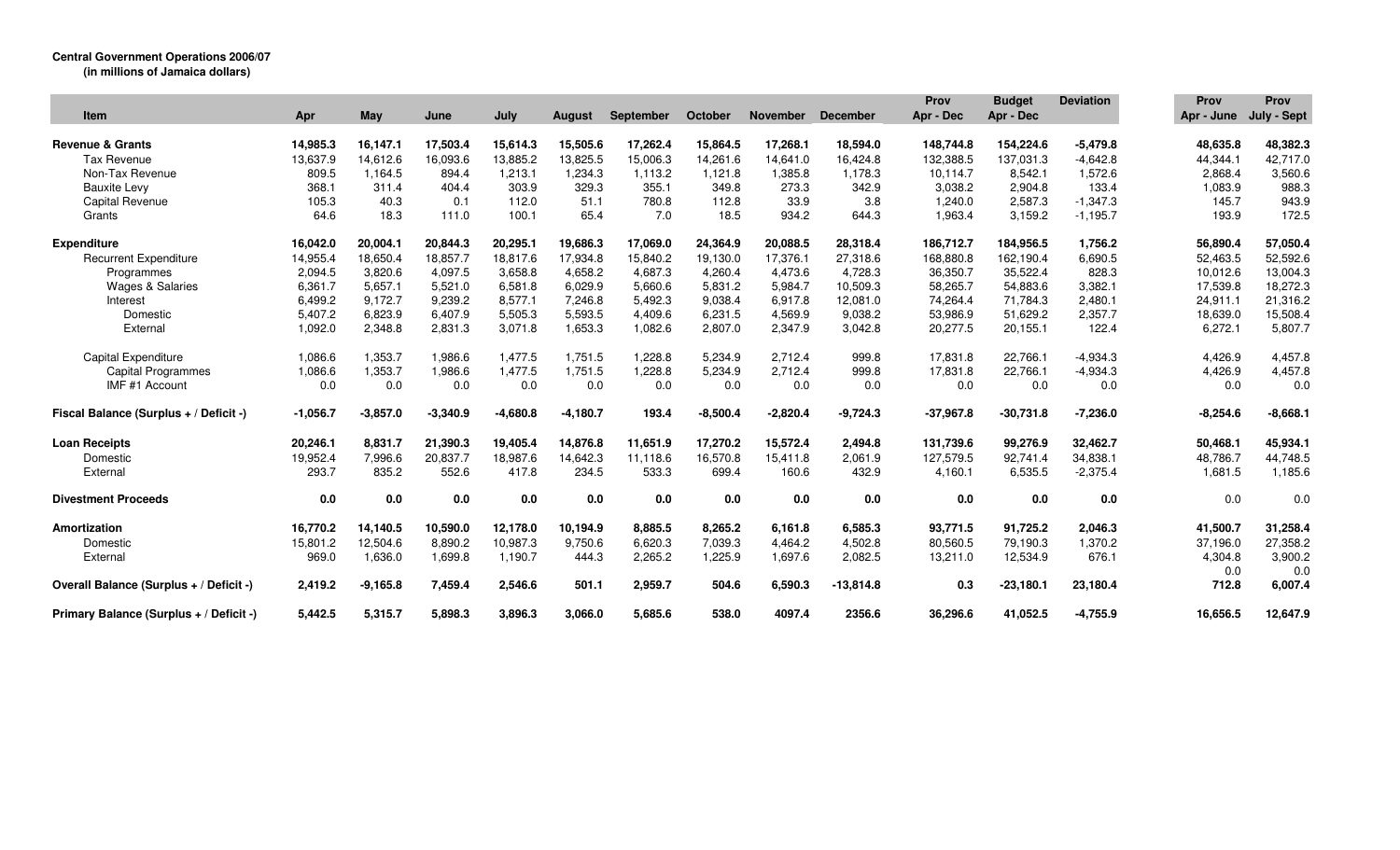## **Central Government Operations 2006/07**

**(in millions of Jamaica dollars)**

| <b>Item</b>                             | Apr        | May        | June       | July       | <b>August</b> | September | October    | <b>November</b> | <b>December</b> | Prov<br>Apr - Dec | <b>Budget</b><br>Apr - Dec | <b>Deviation</b> | Prov<br>Apr - June | <b>Prov</b><br>July - Sept |
|-----------------------------------------|------------|------------|------------|------------|---------------|-----------|------------|-----------------|-----------------|-------------------|----------------------------|------------------|--------------------|----------------------------|
|                                         |            |            |            |            |               |           |            |                 |                 |                   |                            |                  |                    |                            |
| <b>Revenue &amp; Grants</b>             | 14,985.3   | 16,147.1   | 17,503.4   | 15,614.3   | 15,505.6      | 17,262.4  | 15,864.5   | 17,268.1        | 18,594.0        | 148,744.8         | 154,224.6                  | $-5,479.8$       | 48,635.8           | 48,382.3                   |
| Tax Revenue                             | 13,637.9   | 14,612.6   | 16,093.6   | 13,885.2   | 13,825.5      | 15,006.3  | 14,261.6   | 14,641.0        | 16,424.8        | 132,388.5         | 137,031.3                  | $-4,642.8$       | 44,344.1           | 42,717.0                   |
| Non-Tax Revenue                         | 809.5      | 1.164.5    | 894.4      | 1,213.1    | 1,234.3       | 1,113.2   | 1,121.8    | 1,385.8         | 1,178.3         | 10,114.7          | 8,542.1                    | 1,572.6          | 2,868.4            | 3,560.6                    |
| <b>Bauxite Levy</b>                     | 368.1      | 311.4      | 404.4      | 303.9      | 329.3         | 355.1     | 349.8      | 273.3           | 342.9           | 3.038.2           | 2.904.8                    | 133.4            | 1,083.9            | 988.3                      |
| <b>Capital Revenue</b>                  | 105.3      | 40.3       | 0.1        | 112.0      | 51.1          | 780.8     | 112.8      | 33.9            | 3.8             | 1,240.0           | 2,587.3                    | $-1,347.3$       | 145.7              | 943.9                      |
| Grants                                  | 64.6       | 18.3       | 111.0      | 100.1      | 65.4          | 7.0       | 18.5       | 934.2           | 644.3           | 1,963.4           | 3,159.2                    | $-1,195.7$       | 193.9              | 172.5                      |
| <b>Expenditure</b>                      | 16,042.0   | 20,004.1   | 20,844.3   | 20,295.1   | 19,686.3      | 17,069.0  | 24,364.9   | 20,088.5        | 28,318.4        | 186,712.7         | 184,956.5                  | 1,756.2          | 56,890.4           | 57,050.4                   |
| <b>Recurrent Expenditure</b>            | 14,955.4   | 18,650.4   | 18,857.7   | 18,817.6   | 17,934.8      | 15,840.2  | 19,130.0   | 17,376.1        | 27,318.6        | 168,880.8         | 162,190.4                  | 6,690.5          | 52,463.5           | 52,592.6                   |
| Programmes                              | 2,094.5    | 3,820.6    | 4,097.5    | 3.658.8    | 4,658.2       | 4,687.3   | 4.260.4    | 4.473.6         | 4,728.3         | 36,350.7          | 35,522.4                   | 828.3            | 10,012.6           | 13,004.3                   |
| <b>Wages &amp; Salaries</b>             | 6,361.7    | 5,657.1    | 5,521.0    | 6,581.8    | 6,029.9       | 5,660.6   | 5,831.2    | 5.984.7         | 10,509.3        | 58,265.7          | 54,883.6                   | 3,382.1          | 17,539.8           | 18,272.3                   |
| Interest                                | 6,499.2    | 9,172.7    | 9,239.2    | 8,577.1    | 7,246.8       | 5,492.3   | 9,038.4    | 6,917.8         | 12,081.0        | 74,264.4          | 71,784.3                   | 2,480.1          | 24,911.1           | 21,316.2                   |
| Domestic                                | 5,407.2    | 6,823.9    | 6,407.9    | 5,505.3    | 5,593.5       | 4,409.6   | 6,231.5    | 4,569.9         | 9,038.2         | 53,986.9          | 51,629.2                   | 2,357.7          | 18,639.0           | 15,508.4                   |
| External                                | 1,092.0    | 2,348.8    | 2,831.3    | 3,071.8    | 1,653.3       | 1,082.6   | 2,807.0    | 2,347.9         | 3,042.8         | 20,277.5          | 20,155.1                   | 122.4            | 6,272.1            | 5,807.7                    |
| <b>Capital Expenditure</b>              | 1,086.6    | 1,353.7    | 1.986.6    | 1.477.5    | 1.751.5       | 1,228.8   | 5.234.9    | 2.712.4         | 999.8           | 17,831.8          | 22.766.1                   | $-4,934.3$       | 4,426.9            | 4,457.8                    |
| <b>Capital Programmes</b>               | 1,086.6    | 1,353.7    | 1,986.6    | 1,477.5    | 1,751.5       | 1,228.8   | 5,234.9    | 2,712.4         | 999.8           | 17,831.8          | 22,766.1                   | $-4,934.3$       | 4,426.9            | 4,457.8                    |
| IMF #1 Account                          | 0.0        | 0.0        | 0.0        | 0.0        | 0.0           | 0.0       | 0.0        | 0.0             | 0.0             | 0.0               | 0.0                        | 0.0              | 0.0                | 0.0                        |
| Fiscal Balance (Surplus + / Deficit -)  | $-1,056.7$ | $-3,857.0$ | $-3,340.9$ | $-4,680.8$ | $-4,180.7$    | 193.4     | $-8,500.4$ | $-2,820.4$      | $-9,724.3$      | $-37,967.8$       | $-30,731.8$                | $-7,236.0$       | $-8,254.6$         | $-8,668.1$                 |
| <b>Loan Receipts</b>                    | 20,246.1   | 8,831.7    | 21,390.3   | 19,405.4   | 14,876.8      | 11,651.9  | 17,270.2   | 15,572.4        | 2,494.8         | 131,739.6         | 99.276.9                   | 32,462.7         | 50,468.1           | 45,934.1                   |
| Domestic                                | 19.952.4   | 7,996.6    | 20.837.7   | 18.987.6   | 14,642.3      | 11.118.6  | 16,570.8   | 15.411.8        | 2,061.9         | 127,579.5         | 92.741.4                   | 34.838.1         | 48,786.7           | 44,748.5                   |
| External                                | 293.7      | 835.2      | 552.6      | 417.8      | 234.5         | 533.3     | 699.4      | 160.6           | 432.9           | 4,160.1           | 6,535.5                    | $-2,375.4$       | 1,681.5            | 1,185.6                    |
| <b>Divestment Proceeds</b>              | 0.0        | 0.0        | 0.0        | 0.0        | 0.0           | 0.0       | 0.0        | 0.0             | 0.0             | 0.0               | 0.0                        | 0.0              | 0.0                | 0.0                        |
| Amortization                            | 16,770.2   | 14,140.5   | 10,590.0   | 12,178.0   | 10,194.9      | 8,885.5   | 8,265.2    | 6,161.8         | 6,585.3         | 93,771.5          | 91,725.2                   | 2,046.3          | 41,500.7           | 31,258.4                   |
| Domestic                                | 15,801.2   | 12,504.6   | 8,890.2    | 10,987.3   | 9,750.6       | 6.620.3   | 7,039.3    | 4,464.2         | 4,502.8         | 80,560.5          | 79.190.3                   | 1,370.2          | 37,196.0           | 27,358.2                   |
| External                                | 969.0      | 1,636.0    | 1,699.8    | 1,190.7    | 444.3         | 2,265.2   | 1,225.9    | 1,697.6         | 2,082.5         | 13,211.0          | 12,534.9                   | 676.1            | 4,304.8            | 3,900.2                    |
|                                         |            |            |            |            |               |           |            |                 |                 |                   |                            |                  | 0.0                | 0.0                        |
| Overall Balance (Surplus + / Deficit -) | 2,419.2    | $-9,165.8$ | 7,459.4    | 2,546.6    | 501.1         | 2,959.7   | 504.6      | 6,590.3         | $-13,814.8$     | 0.3               | $-23,180.1$                | 23,180.4         | 712.8              | 6,007.4                    |
| Primary Balance (Surplus + / Deficit -) | 5.442.5    | 5,315.7    | 5.898.3    | 3.896.3    | 3.066.0       | 5,685.6   | 538.0      | 4097.4          | 2356.6          | 36,296.6          | 41.052.5                   | $-4,755.9$       | 16.656.5           | 12,647.9                   |